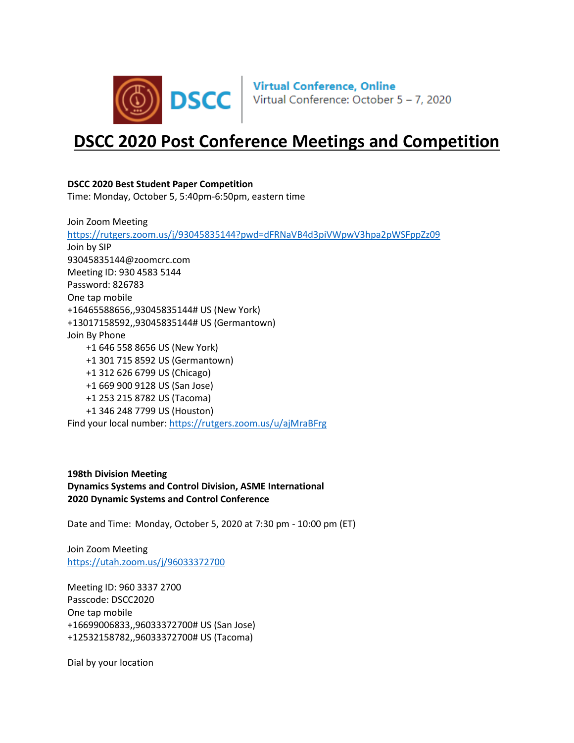

# **DSCC 2020 Post Conference Meetings and Competition**

# **DSCC 2020 Best Student Paper Competition**

Time: Monday, October 5, 5:40pm-6:50pm, eastern time

Join Zoom Meeting <https://rutgers.zoom.us/j/93045835144?pwd=dFRNaVB4d3piVWpwV3hpa2pWSFppZz09> Join by SIP 93045835144@zoomcrc.com Meeting ID: 930 4583 5144 Password: 826783 One tap mobile +16465588656,,93045835144# US (New York) +13017158592,,93045835144# US (Germantown) Join By Phone +1 646 558 8656 US (New York) +1 301 715 8592 US (Germantown) +1 312 626 6799 US (Chicago) +1 669 900 9128 US (San Jose) +1 253 215 8782 US (Tacoma) +1 346 248 7799 US (Houston) Find your local number[: https://rutgers.zoom.us/u/ajMraBFrg](https://rutgers.zoom.us/u/ajMraBFrg)

**198th Division Meeting Dynamics Systems and Control Division, ASME International 2020 Dynamic Systems and Control Conference**

Date and Time: Monday, October 5, 2020 at 7:30 pm - 10:00 pm (ET)

Join Zoom Meeting <https://utah.zoom.us/j/96033372700>

Meeting ID: 960 3337 2700 Passcode: DSCC2020 One tap mobile +16699006833,,96033372700# US (San Jose) +12532158782,,96033372700# US (Tacoma)

Dial by your location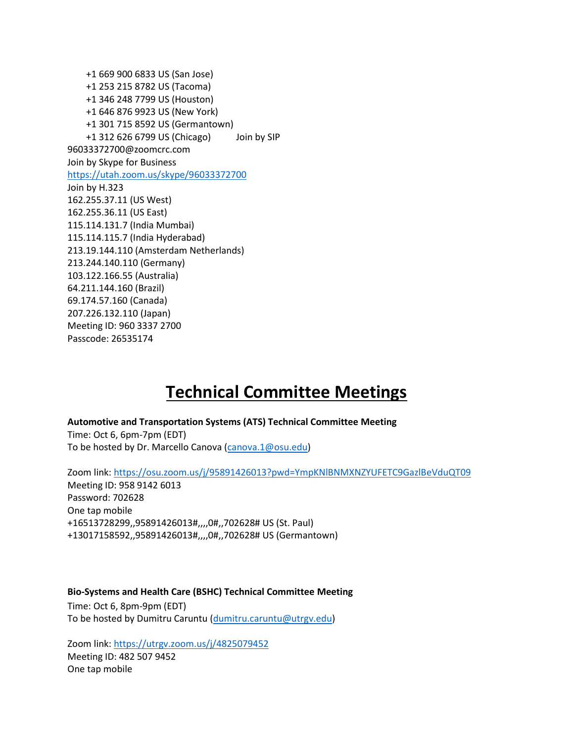+1 669 900 6833 US (San Jose) +1 253 215 8782 US (Tacoma) +1 346 248 7799 US (Houston) +1 646 876 9923 US (New York) +1 301 715 8592 US (Germantown) +1 312 626 6799 US (Chicago) Join by SIP 96033372700@zoomcrc.com Join by Skype for Business <https://utah.zoom.us/skype/96033372700> Join by H.323 162.255.37.11 (US West) 162.255.36.11 (US East) 115.114.131.7 (India Mumbai) 115.114.115.7 (India Hyderabad) 213.19.144.110 (Amsterdam Netherlands) 213.244.140.110 (Germany) 103.122.166.55 (Australia) 64.211.144.160 (Brazil) 69.174.57.160 (Canada) 207.226.132.110 (Japan) Meeting ID: 960 3337 2700 Passcode: 26535174

# **Technical Committee Meetings**

**Automotive and Transportation Systems (ATS) Technical Committee Meeting** Time: Oct 6, 6pm-7pm (EDT)

To be hosted by Dr. Marcello Canova [\(canova.1@osu.edu\)](mailto:canova.1@osu.edu)

Zoom link:<https://osu.zoom.us/j/95891426013?pwd=YmpKNlBNMXNZYUFETC9GazlBeVduQT09> Meeting ID: 958 9142 6013 Password: 702628 One tap mobile +16513728299,,95891426013#,,,,0#,,702628# US (St. Paul) +13017158592,,95891426013#,,,,0#,,702628# US (Germantown)

# **Bio-Systems and Health Care (BSHC) Technical Committee Meeting**

Time: Oct 6, 8pm-9pm (EDT) To be hosted by Dumitru Caruntu [\(dumitru.caruntu@utrgv.edu\)](mailto:dumitru.caruntu@utrgv.edu)

Zoom link:<https://utrgv.zoom.us/j/4825079452> Meeting ID: 482 507 9452 One tap mobile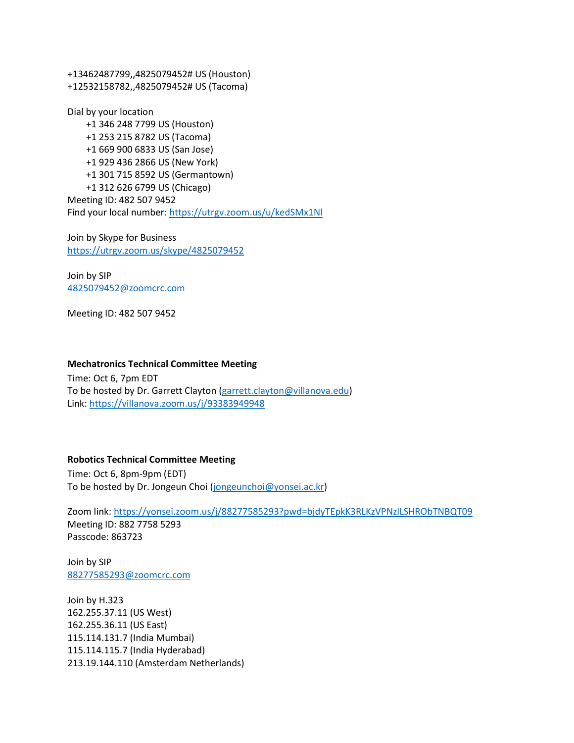+13462487799,,4825079452# US (Houston) +12532158782,,4825079452# US (Tacoma)

Dial by your location +1 346 248 7799 US (Houston) +1 253 215 8782 US (Tacoma) +1 669 900 6833 US (San Jose) +1 929 436 2866 US (New York) +1 301 715 8592 US (Germantown) +1 312 626 6799 US (Chicago) Meeting ID: 482 507 9452 Find your local number[: https://utrgv.zoom.us/u/kedSMx1Nl](https://utrgv.zoom.us/u/kedSMx1Nl)

Join by Skype for Business <https://utrgv.zoom.us/skype/4825079452>

Join by SIP [4825079452@zoomcrc.com](mailto:4825079452@zoomcrc.com)

Meeting ID: 482 507 9452

#### **Mechatronics Technical Committee Meeting**

Time: Oct 6, 7pm EDT To be hosted by Dr. Garrett Clayton [\(garrett.clayton@villanova.edu\)](mailto:garrett.clayton@villanova.edu) Link:<https://villanova.zoom.us/j/93383949948>

#### **Robotics Technical Committee Meeting**

Time: Oct 6, 8pm-9pm (EDT) To be hosted by Dr. Jongeun Choi [\(jongeunchoi@yonsei.ac.kr\)](mailto:jongeunchoi@yonsei.ac.kr)

Zoom link:<https://yonsei.zoom.us/j/88277585293?pwd=bjdyTEpkK3RLKzVPNzlLSHRObTNBQT09> Meeting ID: 882 7758 5293 Passcode: 863723

Join by SIP [88277585293@zoomcrc.com](mailto:88277585293@zoomcrc.com)

Join by H.323 162.255.37.11 (US West) 162.255.36.11 (US East) 115.114.131.7 (India Mumbai) 115.114.115.7 (India Hyderabad) 213.19.144.110 (Amsterdam Netherlands)